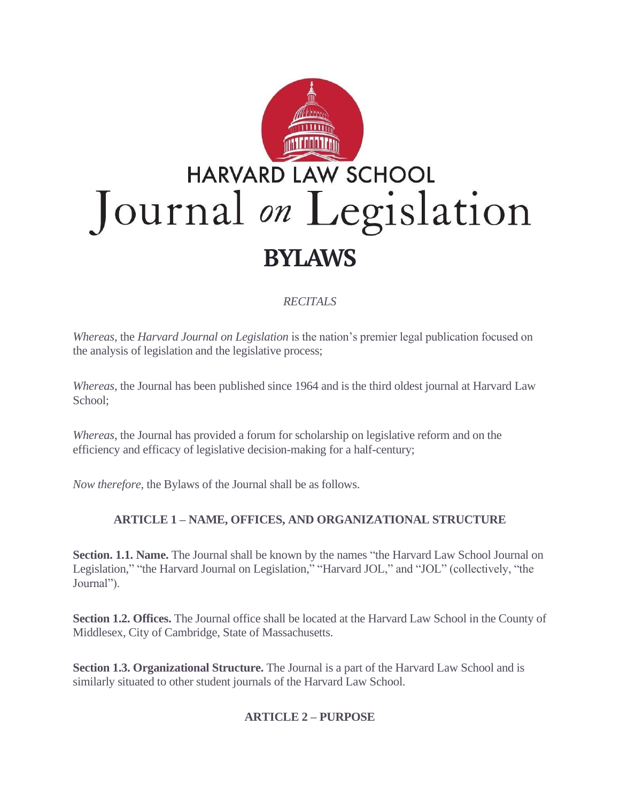

## *RECITALS*

*Whereas,* the *Harvard Journal on Legislation* is the nation's premier legal publication focused on the analysis of legislation and the legislative process;

*Whereas*, the Journal has been published since 1964 and is the third oldest journal at Harvard Law School;

*Whereas*, the Journal has provided a forum for scholarship on legislative reform and on the efficiency and efficacy of legislative decision-making for a half-century;

*Now therefore,* the Bylaws of the Journal shall be as follows.

# **ARTICLE 1 – NAME, OFFICES, AND ORGANIZATIONAL STRUCTURE**

**Section. 1.1. Name.** The Journal shall be known by the names "the Harvard Law School Journal on Legislation," "the Harvard Journal on Legislation," "Harvard JOL," and "JOL" (collectively, "the Journal").

**Section 1.2. Offices.** The Journal office shall be located at the Harvard Law School in the County of Middlesex, City of Cambridge, State of Massachusetts.

**Section 1.3. Organizational Structure.** The Journal is a part of the Harvard Law School and is similarly situated to other student journals of the Harvard Law School.

# **ARTICLE 2 – PURPOSE**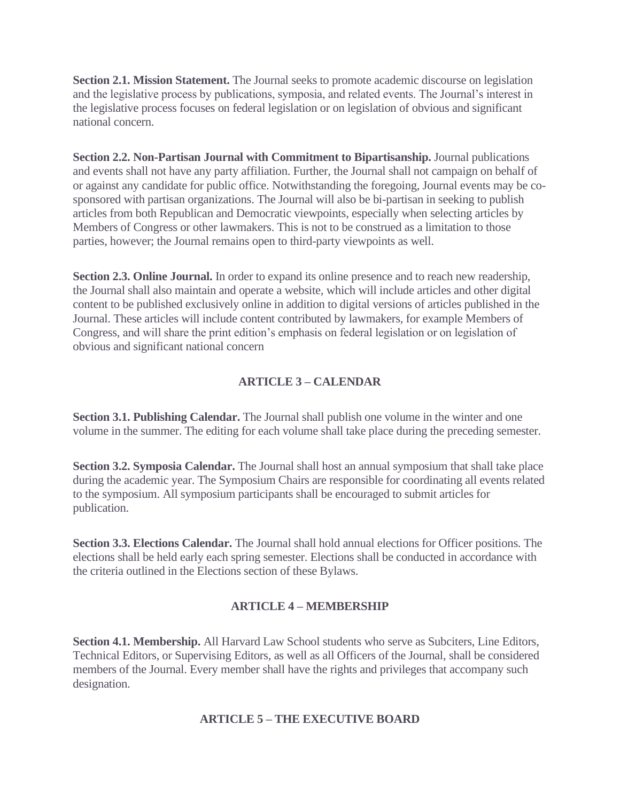**Section 2.1. Mission Statement.** The Journal seeks to promote academic discourse on legislation and the legislative process by publications, symposia, and related events. The Journal's interest in the legislative process focuses on federal legislation or on legislation of obvious and significant national concern.

**Section 2.2. Non-Partisan Journal with Commitment to Bipartisanship.** Journal publications and events shall not have any party affiliation. Further, the Journal shall not campaign on behalf of or against any candidate for public office. Notwithstanding the foregoing, Journal events may be cosponsored with partisan organizations. The Journal will also be bi-partisan in seeking to publish articles from both Republican and Democratic viewpoints, especially when selecting articles by Members of Congress or other lawmakers. This is not to be construed as a limitation to those parties, however; the Journal remains open to third-party viewpoints as well.

**Section 2.3. Online Journal.** In order to expand its online presence and to reach new readership, the Journal shall also maintain and operate a website, which will include articles and other digital content to be published exclusively online in addition to digital versions of articles published in the Journal. These articles will include content contributed by lawmakers, for example Members of Congress, and will share the print edition's emphasis on federal legislation or on legislation of obvious and significant national concern

#### **ARTICLE 3 – CALENDAR**

**Section 3.1. Publishing Calendar.** The Journal shall publish one volume in the winter and one volume in the summer. The editing for each volume shall take place during the preceding semester.

**Section 3.2. Symposia Calendar.** The Journal shall host an annual symposium that shall take place during the academic year. The Symposium Chairs are responsible for coordinating all events related to the symposium. All symposium participants shall be encouraged to submit articles for publication.

**Section 3.3. Elections Calendar.** The Journal shall hold annual elections for Officer positions. The elections shall be held early each spring semester. Elections shall be conducted in accordance with the criteria outlined in the Elections section of these Bylaws.

#### **ARTICLE 4 – MEMBERSHIP**

**Section 4.1. Membership.** All Harvard Law School students who serve as Subciters, Line Editors, Technical Editors, or Supervising Editors, as well as all Officers of the Journal, shall be considered members of the Journal. Every member shall have the rights and privileges that accompany such designation.

#### **ARTICLE 5 – THE EXECUTIVE BOARD**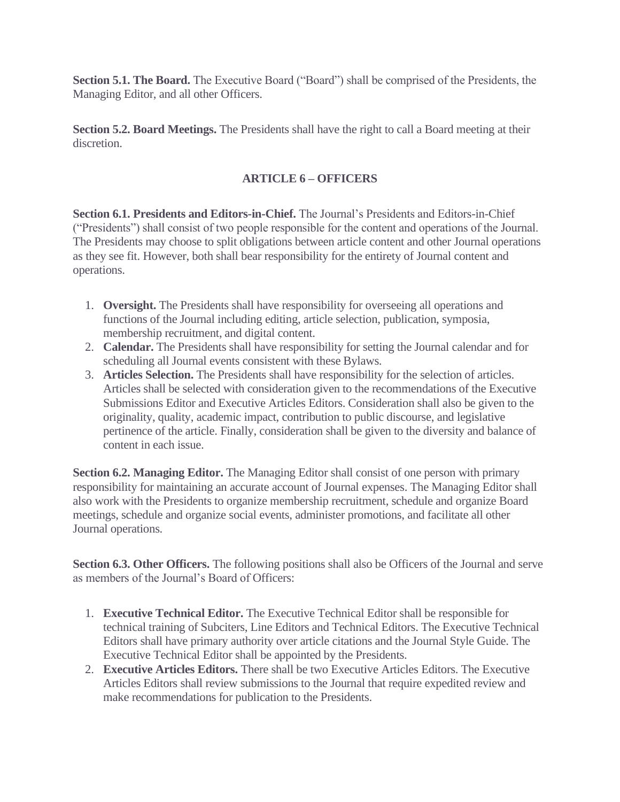**Section 5.1. The Board.** The Executive Board ("Board") shall be comprised of the Presidents, the Managing Editor, and all other Officers.

**Section 5.2. Board Meetings.** The Presidents shall have the right to call a Board meeting at their discretion.

### **ARTICLE 6 – OFFICERS**

**Section 6.1. Presidents and Editors-in-Chief.** The Journal's Presidents and Editors-in-Chief ("Presidents") shall consist of two people responsible for the content and operations of the Journal. The Presidents may choose to split obligations between article content and other Journal operations as they see fit. However, both shall bear responsibility for the entirety of Journal content and operations.

- 1. **Oversight.** The Presidents shall have responsibility for overseeing all operations and functions of the Journal including editing, article selection, publication, symposia, membership recruitment, and digital content.
- 2. **Calendar.** The Presidents shall have responsibility for setting the Journal calendar and for scheduling all Journal events consistent with these Bylaws.
- 3. **Articles Selection.** The Presidents shall have responsibility for the selection of articles. Articles shall be selected with consideration given to the recommendations of the Executive Submissions Editor and Executive Articles Editors. Consideration shall also be given to the originality, quality, academic impact, contribution to public discourse, and legislative pertinence of the article. Finally, consideration shall be given to the diversity and balance of content in each issue.

**Section 6.2. Managing Editor.** The Managing Editor shall consist of one person with primary responsibility for maintaining an accurate account of Journal expenses. The Managing Editor shall also work with the Presidents to organize membership recruitment, schedule and organize Board meetings, schedule and organize social events, administer promotions, and facilitate all other Journal operations.

**Section 6.3. Other Officers.** The following positions shall also be Officers of the Journal and serve as members of the Journal's Board of Officers:

- 1. **Executive Technical Editor.** The Executive Technical Editor shall be responsible for technical training of Subciters, Line Editors and Technical Editors. The Executive Technical Editors shall have primary authority over article citations and the Journal Style Guide. The Executive Technical Editor shall be appointed by the Presidents.
- 2. **Executive Articles Editors.** There shall be two Executive Articles Editors. The Executive Articles Editors shall review submissions to the Journal that require expedited review and make recommendations for publication to the Presidents.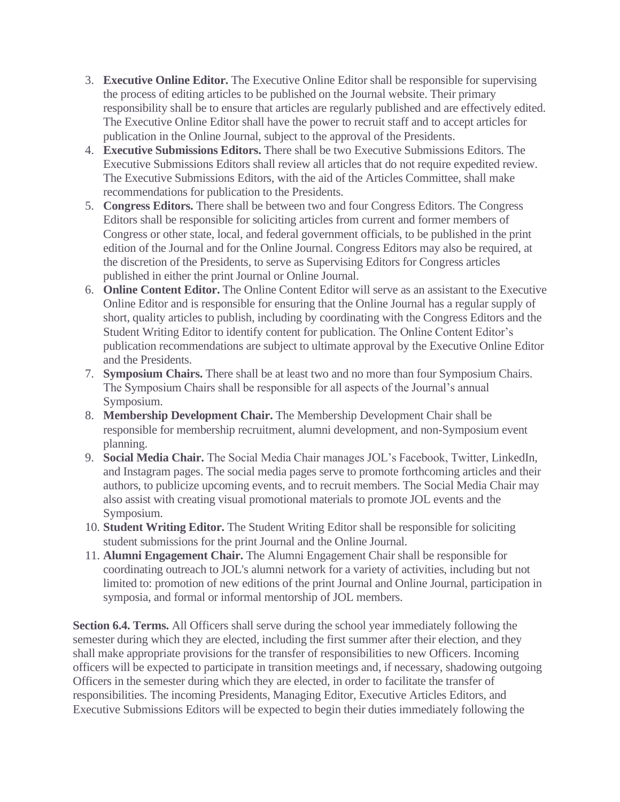- 3. **Executive Online Editor.** The Executive Online Editor shall be responsible for supervising the process of editing articles to be published on the Journal website. Their primary responsibility shall be to ensure that articles are regularly published and are effectively edited. The Executive Online Editor shall have the power to recruit staff and to accept articles for publication in the Online Journal, subject to the approval of the Presidents.
- 4. **Executive Submissions Editors.** There shall be two Executive Submissions Editors. The Executive Submissions Editors shall review all articles that do not require expedited review. The Executive Submissions Editors, with the aid of the Articles Committee, shall make recommendations for publication to the Presidents.
- 5. **Congress Editors.** There shall be between two and four Congress Editors. The Congress Editors shall be responsible for soliciting articles from current and former members of Congress or other state, local, and federal government officials, to be published in the print edition of the Journal and for the Online Journal. Congress Editors may also be required, at the discretion of the Presidents, to serve as Supervising Editors for Congress articles published in either the print Journal or Online Journal.
- 6. **Online Content Editor.** The Online Content Editor will serve as an assistant to the Executive Online Editor and is responsible for ensuring that the Online Journal has a regular supply of short, quality articles to publish, including by coordinating with the Congress Editors and the Student Writing Editor to identify content for publication. The Online Content Editor's publication recommendations are subject to ultimate approval by the Executive Online Editor and the Presidents.
- 7. **Symposium Chairs.** There shall be at least two and no more than four Symposium Chairs. The Symposium Chairs shall be responsible for all aspects of the Journal's annual Symposium.
- 8. **Membership Development Chair.** The Membership Development Chair shall be responsible for membership recruitment, alumni development, and non-Symposium event planning.
- 9. **Social Media Chair.** The Social Media Chair manages JOL's Facebook, Twitter, LinkedIn, and Instagram pages. The social media pages serve to promote forthcoming articles and their authors, to publicize upcoming events, and to recruit members. The Social Media Chair may also assist with creating visual promotional materials to promote JOL events and the Symposium.
- 10. **Student Writing Editor.** The Student Writing Editor shall be responsible for soliciting student submissions for the print Journal and the Online Journal.
- 11. **Alumni Engagement Chair.** The Alumni Engagement Chair shall be responsible for coordinating outreach to JOL's alumni network for a variety of activities, including but not limited to: promotion of new editions of the print Journal and Online Journal, participation in symposia, and formal or informal mentorship of JOL members.

**Section 6.4. Terms.** All Officers shall serve during the school year immediately following the semester during which they are elected, including the first summer after their election, and they shall make appropriate provisions for the transfer of responsibilities to new Officers. Incoming officers will be expected to participate in transition meetings and, if necessary, shadowing outgoing Officers in the semester during which they are elected, in order to facilitate the transfer of responsibilities. The incoming Presidents, Managing Editor, Executive Articles Editors, and Executive Submissions Editors will be expected to begin their duties immediately following the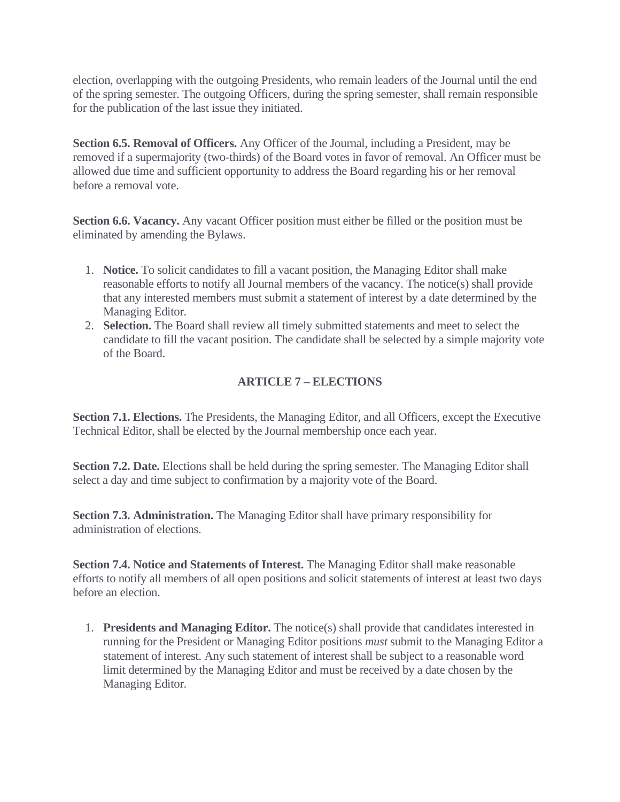election, overlapping with the outgoing Presidents, who remain leaders of the Journal until the end of the spring semester. The outgoing Officers, during the spring semester, shall remain responsible for the publication of the last issue they initiated.

**Section 6.5. Removal of Officers.** Any Officer of the Journal, including a President, may be removed if a supermajority (two-thirds) of the Board votes in favor of removal. An Officer must be allowed due time and sufficient opportunity to address the Board regarding his or her removal before a removal vote.

**Section 6.6. Vacancy.** Any vacant Officer position must either be filled or the position must be eliminated by amending the Bylaws.

- 1. **Notice.** To solicit candidates to fill a vacant position, the Managing Editor shall make reasonable efforts to notify all Journal members of the vacancy. The notice(s) shall provide that any interested members must submit a statement of interest by a date determined by the Managing Editor.
- 2. **Selection.** The Board shall review all timely submitted statements and meet to select the candidate to fill the vacant position. The candidate shall be selected by a simple majority vote of the Board.

### **ARTICLE 7 – ELECTIONS**

**Section 7.1. Elections.** The Presidents, the Managing Editor, and all Officers, except the Executive Technical Editor, shall be elected by the Journal membership once each year.

**Section 7.2. Date.** Elections shall be held during the spring semester. The Managing Editor shall select a day and time subject to confirmation by a majority vote of the Board.

**Section 7.3. Administration.** The Managing Editor shall have primary responsibility for administration of elections.

**Section 7.4. Notice and Statements of Interest.** The Managing Editor shall make reasonable efforts to notify all members of all open positions and solicit statements of interest at least two days before an election.

1. **Presidents and Managing Editor.** The notice(s) shall provide that candidates interested in running for the President or Managing Editor positions *must* submit to the Managing Editor a statement of interest. Any such statement of interest shall be subject to a reasonable word limit determined by the Managing Editor and must be received by a date chosen by the Managing Editor.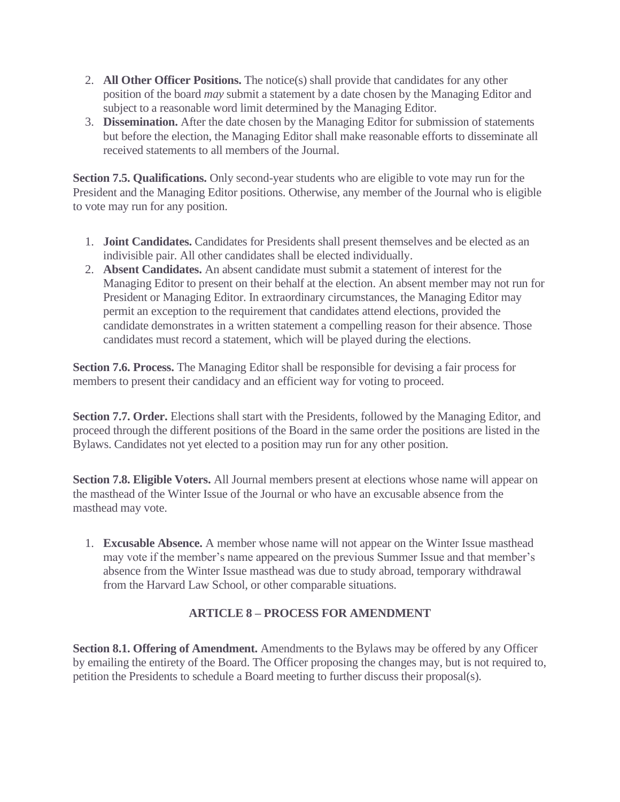- 2. **All Other Officer Positions.** The notice(s) shall provide that candidates for any other position of the board *may* submit a statement by a date chosen by the Managing Editor and subject to a reasonable word limit determined by the Managing Editor.
- 3. **Dissemination.** After the date chosen by the Managing Editor for submission of statements but before the election, the Managing Editor shall make reasonable efforts to disseminate all received statements to all members of the Journal.

**Section 7.5. Qualifications.** Only second-year students who are eligible to vote may run for the President and the Managing Editor positions. Otherwise, any member of the Journal who is eligible to vote may run for any position.

- 1. **Joint Candidates.** Candidates for Presidents shall present themselves and be elected as an indivisible pair. All other candidates shall be elected individually.
- 2. **Absent Candidates.** An absent candidate must submit a statement of interest for the Managing Editor to present on their behalf at the election. An absent member may not run for President or Managing Editor. In extraordinary circumstances, the Managing Editor may permit an exception to the requirement that candidates attend elections, provided the candidate demonstrates in a written statement a compelling reason for their absence. Those candidates must record a statement, which will be played during the elections.

**Section 7.6. Process.** The Managing Editor shall be responsible for devising a fair process for members to present their candidacy and an efficient way for voting to proceed.

**Section 7.7. Order.** Elections shall start with the Presidents, followed by the Managing Editor, and proceed through the different positions of the Board in the same order the positions are listed in the Bylaws. Candidates not yet elected to a position may run for any other position.

**Section 7.8. Eligible Voters.** All Journal members present at elections whose name will appear on the masthead of the Winter Issue of the Journal or who have an excusable absence from the masthead may vote.

1. **Excusable Absence.** A member whose name will not appear on the Winter Issue masthead may vote if the member's name appeared on the previous Summer Issue and that member's absence from the Winter Issue masthead was due to study abroad, temporary withdrawal from the Harvard Law School, or other comparable situations.

### **ARTICLE 8 – PROCESS FOR AMENDMENT**

**Section 8.1. Offering of Amendment.** Amendments to the Bylaws may be offered by any Officer by emailing the entirety of the Board. The Officer proposing the changes may, but is not required to, petition the Presidents to schedule a Board meeting to further discuss their proposal(s).